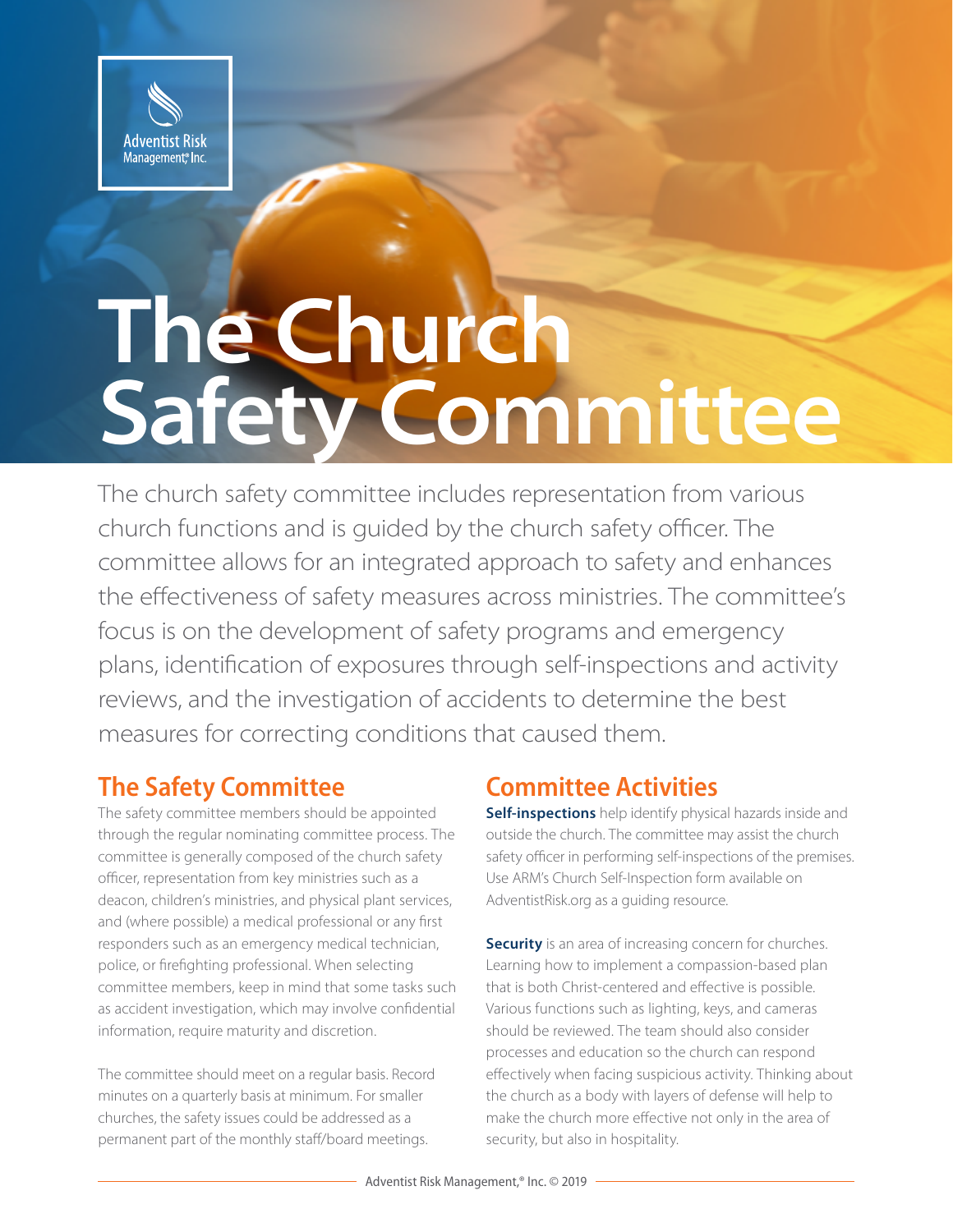

# **The Church Safety Committee**

The church safety committee includes representation from various church functions and is guided by the church safety officer. The committee allows for an integrated approach to safety and enhances the effectiveness of safety measures across ministries. The committee's focus is on the development of safety programs and emergency plans, identification of exposures through self-inspections and activity reviews, and the investigation of accidents to determine the best measures for correcting conditions that caused them.

## **The Safety Committee**

The safety committee members should be appointed through the regular nominating committee process. The committee is generally composed of the church safety officer, representation from key ministries such as a deacon, children's ministries, and physical plant services, and (where possible) a medical professional or any first responders such as an emergency medical technician, police, or firefighting professional. When selecting committee members, keep in mind that some tasks such as accident investigation, which may involve confidential information, require maturity and discretion.

The committee should meet on a regular basis. Record minutes on a quarterly basis at minimum. For smaller churches, the safety issues could be addressed as a permanent part of the monthly staff/board meetings.

## **Committee Activities**

**Self-inspections** help identify physical hazards inside and outside the church. The committee may assist the church safety officer in performing self-inspections of the premises. Use ARM's Church Self-Inspection form available on AdventistRisk.org as a guiding resource.

**Security** is an area of increasing concern for churches. Learning how to implement a compassion-based plan that is both Christ-centered and effective is possible. Various functions such as lighting, keys, and cameras should be reviewed. The team should also consider processes and education so the church can respond effectively when facing suspicious activity. Thinking about the church as a body with layers of defense will help to make the church more effective not only in the area of security, but also in hospitality.